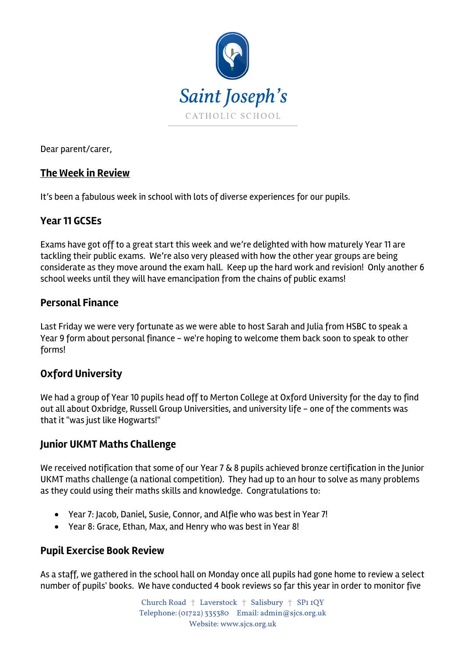

Dear parent/carer,

# **The Week in Review**

It's been a fabulous week in school with lots of diverse experiences for our pupils.

# **Year 11 GCSEs**

Exams have got off to a great start this week and we're delighted with how maturely Year 11 are tackling their public exams. We're also very pleased with how the other year groups are being considerate as they move around the exam hall. Keep up the hard work and revision! Only another 6 school weeks until they will have emancipation from the chains of public exams!

# **Personal Finance**

Last Friday we were very fortunate as we were able to host Sarah and Julia from HSBC to speak a Year 9 form about personal finance - we're hoping to welcome them back soon to speak to other forms!

# **Oxford University**

We had a group of Year 10 pupils head off to Merton College at Oxford University for the day to find out all about Oxbridge, Russell Group Universities, and university life - one of the comments was that it "was just like Hogwarts!"

#### **Junior UKMT Maths Challenge**

We received notification that some of our Year 7 & 8 pupils achieved bronze certification in the Junior UKMT maths challenge (a national competition). They had up to an hour to solve as many problems as they could using their maths skills and knowledge. Congratulations to:

- Year 7: Jacob, Daniel, Susie, Connor, and Alfie who was best in Year 7!
- Year 8: Grace, Ethan, Max, and Henry who was best in Year 8!

#### **Pupil Exercise Book Review**

As a staff, we gathered in the school hall on Monday once all pupils had gone home to review a select number of pupils' books. We have conducted 4 book reviews so far this year in order to monitor five

> Church Road † Laverstock † Salisbury † SP1 1QY Telephone: (01722) 335380 Email: admin@sjcs.org.uk Website: www.sjcs.org.uk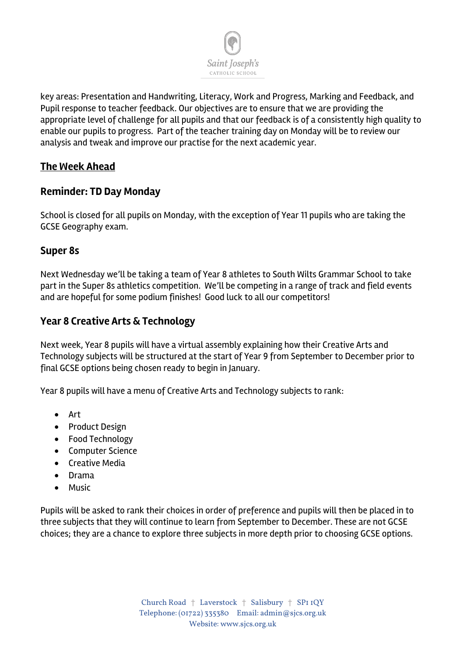

key areas: Presentation and Handwriting, Literacy, Work and Progress, Marking and Feedback, and Pupil response to teacher feedback. Our objectives are to ensure that we are providing the appropriate level of challenge for all pupils and that our feedback is of a consistently high quality to enable our pupils to progress. Part of the teacher training day on Monday will be to review our analysis and tweak and improve our practise for the next academic year.

# **The Week Ahead**

# **Reminder: TD Day Monday**

School is closed for all pupils on Monday, with the exception of Year 11 pupils who are taking the GCSE Geography exam.

#### **Super 8s**

Next Wednesday we'll be taking a team of Year 8 athletes to South Wilts Grammar School to take part in the Super 8s athletics competition. We'll be competing in a range of track and field events and are hopeful for some podium finishes! Good luck to all our competitors!

#### **Year 8 Creative Arts & Technology**

Next week, Year 8 pupils will have a virtual assembly explaining how their Creative Arts and Technology subjects will be structured at the start of Year 9 from September to December prior to final GCSE options being chosen ready to begin in January.

Year 8 pupils will have a menu of Creative Arts and Technology subjects to rank:

- Art
- Product Design
- Food Technology
- Computer Science
- Creative Media
- Drama
- Music

Pupils will be asked to rank their choices in order of preference and pupils will then be placed in to three subjects that they will continue to learn from September to December. These are not GCSE choices; they are a chance to explore three subjects in more depth prior to choosing GCSE options.